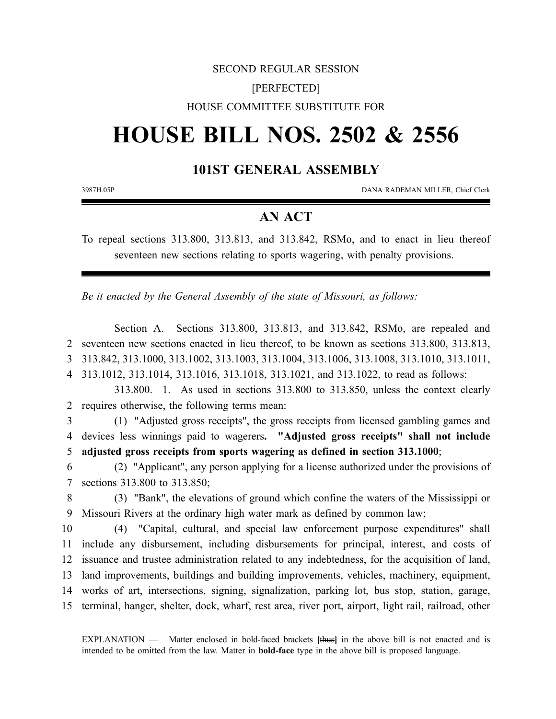## SECOND REGULAR SESSION [PERFECTED] HOUSE COMMITTEE SUBSTITUTE FOR

# **HOUSE BILL NOS. 2502 & 2556**

## **101ST GENERAL ASSEMBLY**

3987H.05P DANA RADEMAN MILLER, Chief Clerk

## **AN ACT**

To repeal sections 313.800, 313.813, and 313.842, RSMo, and to enact in lieu thereof seventeen new sections relating to sports wagering, with penalty provisions.

*Be it enacted by the General Assembly of the state of Missouri, as follows:*

Section A. Sections 313.800, 313.813, and 313.842, RSMo, are repealed and seventeen new sections enacted in lieu thereof, to be known as sections 313.800, 313.813, 313.842, 313.1000, 313.1002, 313.1003, 313.1004, 313.1006, 313.1008, 313.1010, 313.1011, 313.1012, 313.1014, 313.1016, 313.1018, 313.1021, and 313.1022, to read as follows: 313.800. 1. As used in sections 313.800 to 313.850, unless the context clearly requires otherwise, the following terms mean: (1) "Adjusted gross receipts", the gross receipts from licensed gambling games and devices less winnings paid to wagerers**. "Adjusted gross receipts" shall not include adjusted gross receipts from sports wagering as defined in section 313.1000**; (2) "Applicant", any person applying for a license authorized under the provisions of sections 313.800 to 313.850;

8 (3) "Bank", the elevations of ground which confine the waters of the Mississippi or 9 Missouri Rivers at the ordinary high water mark as defined by common law;

 (4) "Capital, cultural, and special law enforcement purpose expenditures" shall include any disbursement, including disbursements for principal, interest, and costs of issuance and trustee administration related to any indebtedness, for the acquisition of land, land improvements, buildings and building improvements, vehicles, machinery, equipment, works of art, intersections, signing, signalization, parking lot, bus stop, station, garage, terminal, hanger, shelter, dock, wharf, rest area, river port, airport, light rail, railroad, other

EXPLANATION — Matter enclosed in bold-faced brackets **[**thus**]** in the above bill is not enacted and is intended to be omitted from the law. Matter in **bold-face** type in the above bill is proposed language.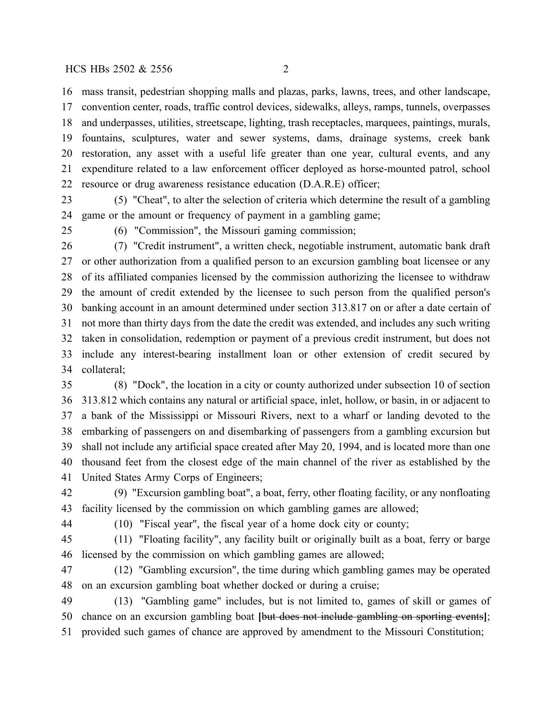mass transit, pedestrian shopping malls and plazas, parks, lawns, trees, and other landscape, convention center, roads, traffic control devices, sidewalks, alleys, ramps, tunnels, overpasses and underpasses, utilities, streetscape, lighting, trash receptacles, marquees, paintings, murals, fountains, sculptures, water and sewer systems, dams, drainage systems, creek bank restoration, any asset with a useful life greater than one year, cultural events, and any expenditure related to a law enforcement officer deployed as horse-mounted patrol, school resource or drug awareness resistance education (D.A.R.E) officer;

 (5) "Cheat", to alter the selection of criteria which determine the result of a gambling game or the amount or frequency of payment in a gambling game;

(6) "Commission", the Missouri gaming commission;

 (7) "Credit instrument", a written check, negotiable instrument, automatic bank draft or other authorization from a qualified person to an excursion gambling boat licensee or any of its affiliated companies licensed by the commission authorizing the licensee to withdraw the amount of credit extended by the licensee to such person from the qualified person's banking account in an amount determined under section 313.817 on or after a date certain of not more than thirty days from the date the credit was extended, and includes any such writing taken in consolidation, redemption or payment of a previous credit instrument, but does not include any interest-bearing installment loan or other extension of credit secured by collateral;

 (8) "Dock", the location in a city or county authorized under subsection 10 of section 313.812 which contains any natural or artificial space, inlet, hollow, or basin, in or adjacent to a bank of the Mississippi or Missouri Rivers, next to a wharf or landing devoted to the embarking of passengers on and disembarking of passengers from a gambling excursion but shall not include any artificial space created after May 20, 1994, and is located more than one thousand feet from the closest edge of the main channel of the river as established by the United States Army Corps of Engineers;

 (9) "Excursion gambling boat", a boat, ferry, other floating facility, or any nonfloating facility licensed by the commission on which gambling games are allowed;

(10) "Fiscal year", the fiscal year of a home dock city or county;

 (11) "Floating facility", any facility built or originally built as a boat, ferry or barge licensed by the commission on which gambling games are allowed;

 (12) "Gambling excursion", the time during which gambling games may be operated on an excursion gambling boat whether docked or during a cruise;

 (13) "Gambling game" includes, but is not limited to, games of skill or games of chance on an excursion gambling boat **[**but does not include gambling on sporting events**]**; provided such games of chance are approved by amendment to the Missouri Constitution;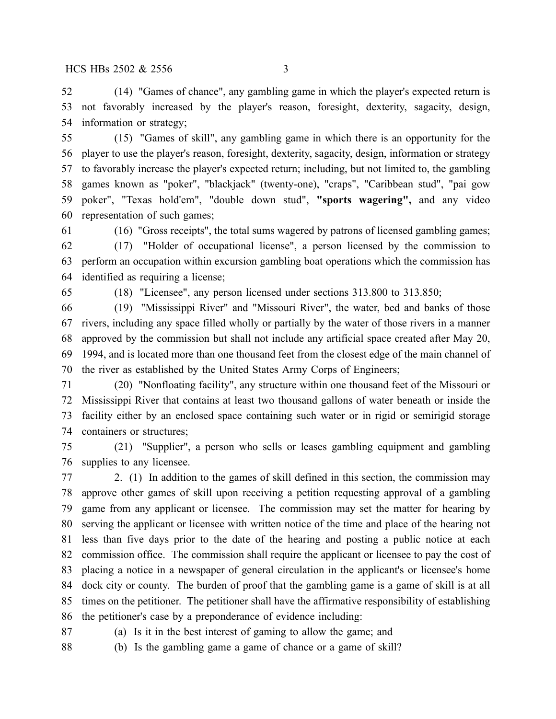(14) "Games of chance", any gambling game in which the player's expected return is not favorably increased by the player's reason, foresight, dexterity, sagacity, design, information or strategy;

 (15) "Games of skill", any gambling game in which there is an opportunity for the player to use the player's reason, foresight, dexterity, sagacity, design, information or strategy to favorably increase the player's expected return; including, but not limited to, the gambling games known as "poker", "blackjack" (twenty-one), "craps", "Caribbean stud", "pai gow poker", "Texas hold'em", "double down stud", **"sports wagering",** and any video representation of such games;

(16) "Gross receipts", the total sums wagered by patrons of licensed gambling games;

 (17) "Holder of occupational license", a person licensed by the commission to perform an occupation within excursion gambling boat operations which the commission has identified as requiring a license;

(18) "Licensee", any person licensed under sections 313.800 to 313.850;

 (19) "Mississippi River" and "Missouri River", the water, bed and banks of those rivers, including any space filled wholly or partially by the water of those rivers in a manner approved by the commission but shall not include any artificial space created after May 20, 1994, and is located more than one thousand feet from the closest edge of the main channel of the river as established by the United States Army Corps of Engineers;

 (20) "Nonfloating facility", any structure within one thousand feet of the Missouri or Mississippi River that contains at least two thousand gallons of water beneath or inside the facility either by an enclosed space containing such water or in rigid or semirigid storage containers or structures;

 (21) "Supplier", a person who sells or leases gambling equipment and gambling supplies to any licensee.

 2. (1) In addition to the games of skill defined in this section, the commission may approve other games of skill upon receiving a petition requesting approval of a gambling game from any applicant or licensee. The commission may set the matter for hearing by serving the applicant or licensee with written notice of the time and place of the hearing not less than five days prior to the date of the hearing and posting a public notice at each commission office. The commission shall require the applicant or licensee to pay the cost of placing a notice in a newspaper of general circulation in the applicant's or licensee's home dock city or county. The burden of proof that the gambling game is a game of skill is at all times on the petitioner. The petitioner shall have the affirmative responsibility of establishing the petitioner's case by a preponderance of evidence including:

(a) Is it in the best interest of gaming to allow the game; and

(b) Is the gambling game a game of chance or a game of skill?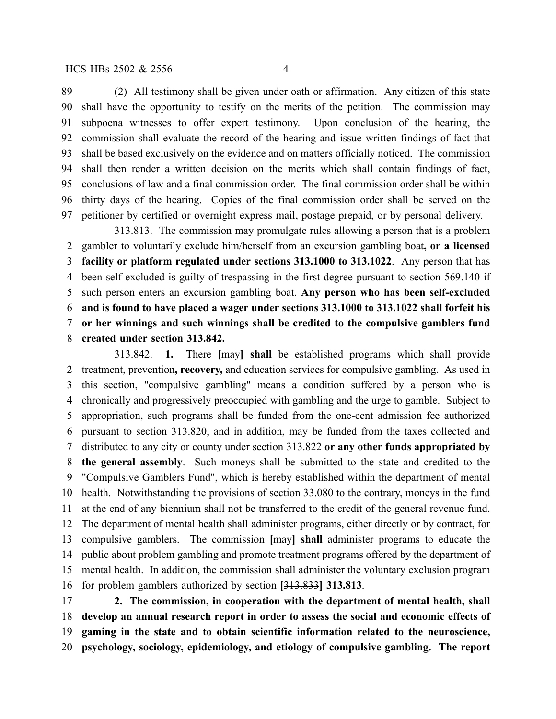(2) All testimony shall be given under oath or affirmation. Any citizen of this state shall have the opportunity to testify on the merits of the petition. The commission may subpoena witnesses to offer expert testimony. Upon conclusion of the hearing, the commission shall evaluate the record of the hearing and issue written findings of fact that shall be based exclusively on the evidence and on matters officially noticed. The commission shall then render a written decision on the merits which shall contain findings of fact, conclusions of law and a final commission order. The final commission order shall be within thirty days of the hearing. Copies of the final commission order shall be served on the petitioner by certified or overnight express mail, postage prepaid, or by personal delivery.

313.813. The commission may promulgate rules allowing a person that is a problem gambler to voluntarily exclude him/herself from an excursion gambling boat**, or a licensed facility or platform regulated under sections 313.1000 to 313.1022**. Any person that has been self-excluded is guilty of trespassing in the first degree pursuant to section 569.140 if such person enters an excursion gambling boat. **Any person who has been self-excluded and is found to have placed a wager under sections 313.1000 to 313.1022 shall forfeit his or her winnings and such winnings shall be credited to the compulsive gamblers fund created under section 313.842.**

313.842. **1.** There **[**may**] shall** be established programs which shall provide treatment, prevention**, recovery,** and education services for compulsive gambling. As used in this section, "compulsive gambling" means a condition suffered by a person who is chronically and progressively preoccupied with gambling and the urge to gamble. Subject to appropriation, such programs shall be funded from the one-cent admission fee authorized pursuant to section 313.820, and in addition, may be funded from the taxes collected and distributed to any city or county under section 313.822 **or any other funds appropriated by the general assembly**. Such moneys shall be submitted to the state and credited to the "Compulsive Gamblers Fund", which is hereby established within the department of mental health. Notwithstanding the provisions of section 33.080 to the contrary, moneys in the fund at the end of any biennium shall not be transferred to the credit of the general revenue fund. The department of mental health shall administer programs, either directly or by contract, for compulsive gamblers. The commission **[**may**] shall** administer programs to educate the public about problem gambling and promote treatment programs offered by the department of mental health. In addition, the commission shall administer the voluntary exclusion program for problem gamblers authorized by section **[**313.833**] 313.813**.

 **2. The commission, in cooperation with the department of mental health, shall develop an annual research report in order to assess the social and economic effects of gaming in the state and to obtain scientific information related to the neuroscience, psychology, sociology, epidemiology, and etiology of compulsive gambling. The report**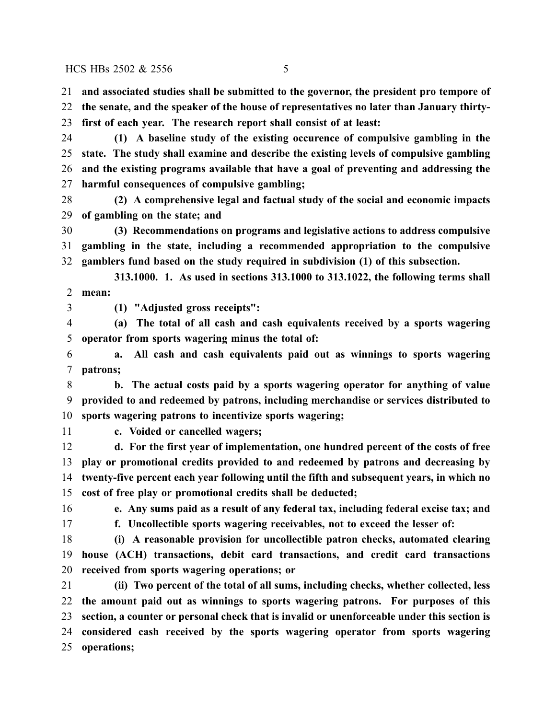**and associated studies shall be submitted to the governor, the president pro tempore of**

 **the senate, and the speaker of the house of representatives no later than January thirty-first of each year. The research report shall consist of at least:**

 **(1) A baseline study of the existing occurence of compulsive gambling in the state. The study shall examine and describe the existing levels of compulsive gambling and the existing programs available that have a goal of preventing and addressing the harmful consequences of compulsive gambling;**

 **(2) A comprehensive legal and factual study of the social and economic impacts of gambling on the state; and**

 **(3) Recommendations on programs and legislative actions to address compulsive gambling in the state, including a recommended appropriation to the compulsive gamblers fund based on the study required in subdivision (1) of this subsection.**

**313.1000. 1. As used in sections 313.1000 to 313.1022, the following terms shall mean:**

**(1) "Adjusted gross receipts":**

 **(a) The total of all cash and cash equivalents received by a sports wagering operator from sports wagering minus the total of:**

 **a. All cash and cash equivalents paid out as winnings to sports wagering patrons;**

 **b. The actual costs paid by a sports wagering operator for anything of value provided to and redeemed by patrons, including merchandise or services distributed to sports wagering patrons to incentivize sports wagering;**

**c. Voided or cancelled wagers;**

 **d. For the first year of implementation, one hundred percent of the costs of free play or promotional credits provided to and redeemed by patrons and decreasing by twenty-five percent each year following until the fifth and subsequent years, in which no cost of free play or promotional credits shall be deducted;**

**e. Any sums paid as a result of any federal tax, including federal excise tax; and**

**f. Uncollectible sports wagering receivables, not to exceed the lesser of:**

 **(i) A reasonable provision for uncollectible patron checks, automated clearing house (ACH) transactions, debit card transactions, and credit card transactions received from sports wagering operations; or**

 **(ii) Two percent of the total of all sums, including checks, whether collected, less the amount paid out as winnings to sports wagering patrons. For purposes of this section, a counter or personal check that is invalid or unenforceable under this section is considered cash received by the sports wagering operator from sports wagering operations;**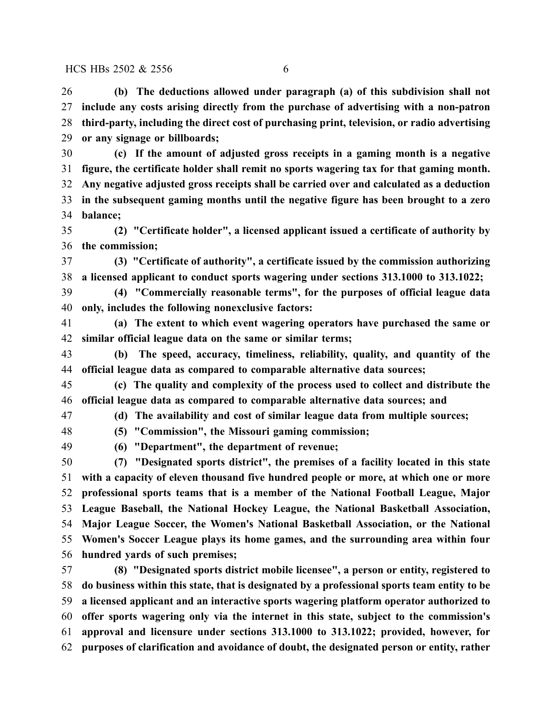**(b) The deductions allowed under paragraph (a) of this subdivision shall not include any costs arising directly from the purchase of advertising with a non-patron third-party, including the direct cost of purchasing print, television, or radio advertising or any signage or billboards;**

 **(c) If the amount of adjusted gross receipts in a gaming month is a negative figure, the certificate holder shall remit no sports wagering tax for that gaming month. Any negative adjusted gross receipts shall be carried over and calculated as a deduction in the subsequent gaming months until the negative figure has been brought to a zero balance;**

 **(2) "Certificate holder", a licensed applicant issued a certificate of authority by the commission;**

 **(3) "Certificate of authority", a certificate issued by the commission authorizing a licensed applicant to conduct sports wagering under sections 313.1000 to 313.1022;**

 **(4) "Commercially reasonable terms", for the purposes of official league data only, includes the following nonexclusive factors:**

 **(a) The extent to which event wagering operators have purchased the same or similar official league data on the same or similar terms;**

 **(b) The speed, accuracy, timeliness, reliability, quality, and quantity of the official league data as compared to comparable alternative data sources;**

 **(c) The quality and complexity of the process used to collect and distribute the official league data as compared to comparable alternative data sources; and**

**(d) The availability and cost of similar league data from multiple sources;**

**(5) "Commission", the Missouri gaming commission;**

**(6) "Department", the department of revenue;**

 **(7) "Designated sports district", the premises of a facility located in this state with a capacity of eleven thousand five hundred people or more, at which one or more professional sports teams that is a member of the National Football League, Major League Baseball, the National Hockey League, the National Basketball Association, Major League Soccer, the Women's National Basketball Association, or the National Women's Soccer League plays its home games, and the surrounding area within four hundred yards of such premises;**

 **(8) "Designated sports district mobile licensee", a person or entity, registered to do business within this state, that is designated by a professional sports team entity to be a licensed applicant and an interactive sports wagering platform operator authorized to offer sports wagering only via the internet in this state, subject to the commission's approval and licensure under sections 313.1000 to 313.1022; provided, however, for purposes of clarification and avoidance of doubt, the designated person or entity, rather**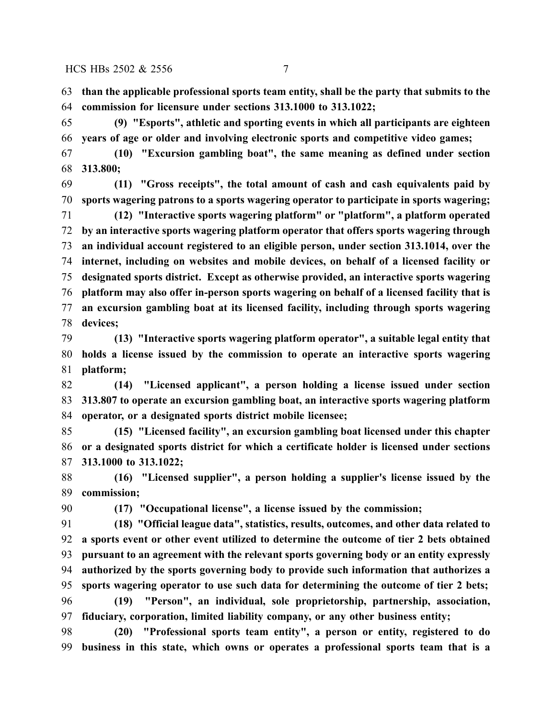**than the applicable professional sports team entity, shall be the party that submits to the commission for licensure under sections 313.1000 to 313.1022;**

 **(9) "Esports", athletic and sporting events in which all participants are eighteen years of age or older and involving electronic sports and competitive video games;**

 **(10) "Excursion gambling boat", the same meaning as defined under section 313.800;**

 **(11) "Gross receipts", the total amount of cash and cash equivalents paid by sports wagering patrons to a sports wagering operator to participate in sports wagering;**

 **(12) "Interactive sports wagering platform" or "platform", a platform operated by an interactive sports wagering platform operator that offers sports wagering through an individual account registered to an eligible person, under section 313.1014, over the internet, including on websites and mobile devices, on behalf of a licensed facility or designated sports district. Except as otherwise provided, an interactive sports wagering platform may also offer in-person sports wagering on behalf of a licensed facility that is an excursion gambling boat at its licensed facility, including through sports wagering devices;**

 **(13) "Interactive sports wagering platform operator", a suitable legal entity that holds a license issued by the commission to operate an interactive sports wagering platform;**

 **(14) "Licensed applicant", a person holding a license issued under section 313.807 to operate an excursion gambling boat, an interactive sports wagering platform operator, or a designated sports district mobile licensee;**

 **(15) "Licensed facility", an excursion gambling boat licensed under this chapter or a designated sports district for which a certificate holder is licensed under sections 313.1000 to 313.1022;**

 **(16) "Licensed supplier", a person holding a supplier's license issued by the commission;**

**(17) "Occupational license", a license issued by the commission;**

 **(18) "Official league data", statistics, results, outcomes, and other data related to a sports event or other event utilized to determine the outcome of tier 2 bets obtained pursuant to an agreement with the relevant sports governing body or an entity expressly authorized by the sports governing body to provide such information that authorizes a sports wagering operator to use such data for determining the outcome of tier 2 bets; (19) "Person", an individual, sole proprietorship, partnership, association, fiduciary, corporation, limited liability company, or any other business entity;**

 **(20) "Professional sports team entity", a person or entity, registered to do business in this state, which owns or operates a professional sports team that is a**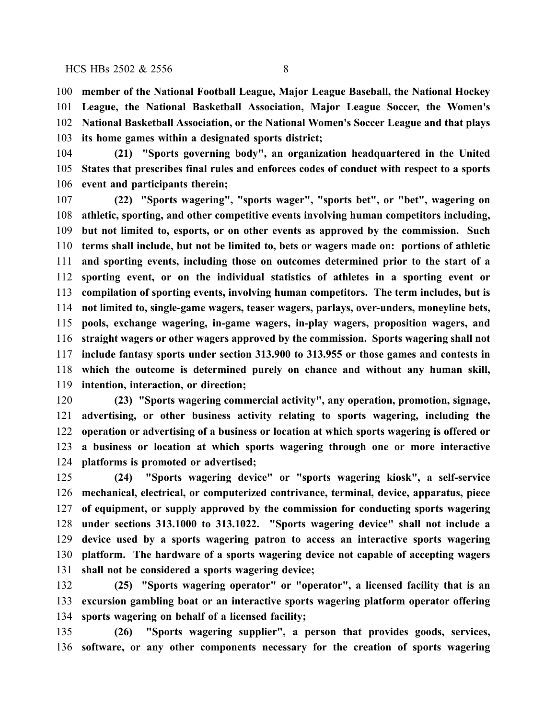**member of the National Football League, Major League Baseball, the National Hockey League, the National Basketball Association, Major League Soccer, the Women's National Basketball Association, or the National Women's Soccer League and that plays its home games within a designated sports district;**

 **(21) "Sports governing body", an organization headquartered in the United States that prescribes final rules and enforces codes of conduct with respect to a sports event and participants therein;**

 **(22) "Sports wagering", "sports wager", "sports bet", or "bet", wagering on athletic, sporting, and other competitive events involving human competitors including, but not limited to, esports, or on other events as approved by the commission. Such terms shall include, but not be limited to, bets or wagers made on: portions of athletic and sporting events, including those on outcomes determined prior to the start of a sporting event, or on the individual statistics of athletes in a sporting event or compilation of sporting events, involving human competitors. The term includes, but is not limited to, single-game wagers, teaser wagers, parlays, over-unders, moneyline bets, pools, exchange wagering, in-game wagers, in-play wagers, proposition wagers, and straight wagers or other wagers approved by the commission. Sports wagering shall not include fantasy sports under section 313.900 to 313.955 or those games and contests in which the outcome is determined purely on chance and without any human skill, intention, interaction, or direction;**

 **(23) "Sports wagering commercial activity", any operation, promotion, signage, advertising, or other business activity relating to sports wagering, including the operation or advertising of a business or location at which sports wagering is offered or a business or location at which sports wagering through one or more interactive platforms is promoted or advertised;**

 **(24) "Sports wagering device" or "sports wagering kiosk", a self-service mechanical, electrical, or computerized contrivance, terminal, device, apparatus, piece of equipment, or supply approved by the commission for conducting sports wagering under sections 313.1000 to 313.1022. "Sports wagering device" shall not include a device used by a sports wagering patron to access an interactive sports wagering platform. The hardware of a sports wagering device not capable of accepting wagers shall not be considered a sports wagering device;**

 **(25) "Sports wagering operator" or "operator", a licensed facility that is an excursion gambling boat or an interactive sports wagering platform operator offering sports wagering on behalf of a licensed facility;**

 **(26) "Sports wagering supplier", a person that provides goods, services, software, or any other components necessary for the creation of sports wagering**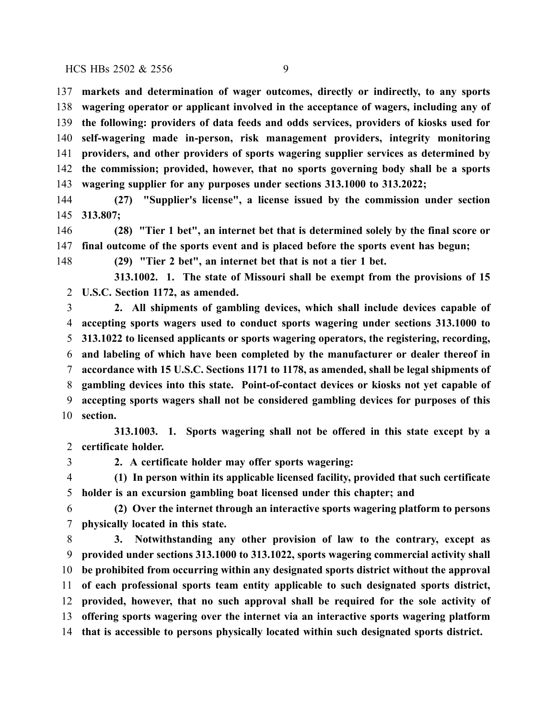**markets and determination of wager outcomes, directly or indirectly, to any sports wagering operator or applicant involved in the acceptance of wagers, including any of the following: providers of data feeds and odds services, providers of kiosks used for self-wagering made in-person, risk management providers, integrity monitoring providers, and other providers of sports wagering supplier services as determined by the commission; provided, however, that no sports governing body shall be a sports wagering supplier for any purposes under sections 313.1000 to 313.2022;**

 **(27) "Supplier's license", a license issued by the commission under section 313.807;**

 **(28) "Tier 1 bet", an internet bet that is determined solely by the final score or final outcome of the sports event and is placed before the sports event has begun;**

**(29) "Tier 2 bet", an internet bet that is not a tier 1 bet.**

**313.1002. 1. The state of Missouri shall be exempt from the provisions of 15 U.S.C. Section 1172, as amended.**

 **2. All shipments of gambling devices, which shall include devices capable of accepting sports wagers used to conduct sports wagering under sections 313.1000 to 313.1022 to licensed applicants or sports wagering operators, the registering, recording, and labeling of which have been completed by the manufacturer or dealer thereof in accordance with 15 U.S.C. Sections 1171 to 1178, as amended, shall be legal shipments of gambling devices into this state. Point-of-contact devices or kiosks not yet capable of accepting sports wagers shall not be considered gambling devices for purposes of this section.**

**313.1003. 1. Sports wagering shall not be offered in this state except by a certificate holder.**

**2. A certificate holder may offer sports wagering:**

 **(1) In person within its applicable licensed facility, provided that such certificate holder is an excursion gambling boat licensed under this chapter; and**

 **(2) Over the internet through an interactive sports wagering platform to persons physically located in this state.**

 **3. Notwithstanding any other provision of law to the contrary, except as provided under sections 313.1000 to 313.1022, sports wagering commercial activity shall be prohibited from occurring within any designated sports district without the approval of each professional sports team entity applicable to such designated sports district, provided, however, that no such approval shall be required for the sole activity of offering sports wagering over the internet via an interactive sports wagering platform that is accessible to persons physically located within such designated sports district.**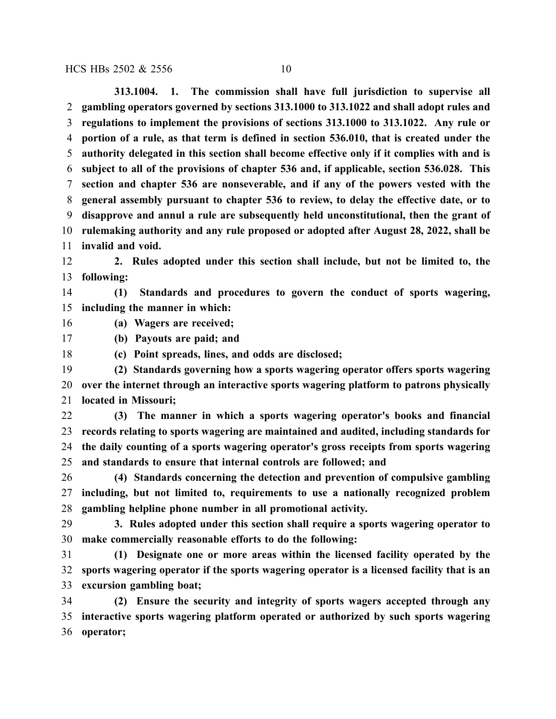**313.1004. 1. The commission shall have full jurisdiction to supervise all gambling operators governed by sections 313.1000 to 313.1022 and shall adopt rules and regulations to implement the provisions of sections 313.1000 to 313.1022. Any rule or portion of a rule, as that term is defined in section 536.010, that is created under the authority delegated in this section shall become effective only if it complies with and is subject to all of the provisions of chapter 536 and, if applicable, section 536.028. This section and chapter 536 are nonseverable, and if any of the powers vested with the general assembly pursuant to chapter 536 to review, to delay the effective date, or to disapprove and annul a rule are subsequently held unconstitutional, then the grant of rulemaking authority and any rule proposed or adopted after August 28, 2022, shall be invalid and void.**

 **2. Rules adopted under this section shall include, but not be limited to, the following:**

 **(1) Standards and procedures to govern the conduct of sports wagering, including the manner in which:**

**(a) Wagers are received;**

**(b) Payouts are paid; and**

**(c) Point spreads, lines, and odds are disclosed;**

 **(2) Standards governing how a sports wagering operator offers sports wagering over the internet through an interactive sports wagering platform to patrons physically located in Missouri;**

 **(3) The manner in which a sports wagering operator's books and financial records relating to sports wagering are maintained and audited, including standards for the daily counting of a sports wagering operator's gross receipts from sports wagering and standards to ensure that internal controls are followed; and**

 **(4) Standards concerning the detection and prevention of compulsive gambling including, but not limited to, requirements to use a nationally recognized problem gambling helpline phone number in all promotional activity.**

 **3. Rules adopted under this section shall require a sports wagering operator to make commercially reasonable efforts to do the following:**

 **(1) Designate one or more areas within the licensed facility operated by the sports wagering operator if the sports wagering operator is a licensed facility that is an excursion gambling boat;**

 **(2) Ensure the security and integrity of sports wagers accepted through any interactive sports wagering platform operated or authorized by such sports wagering operator;**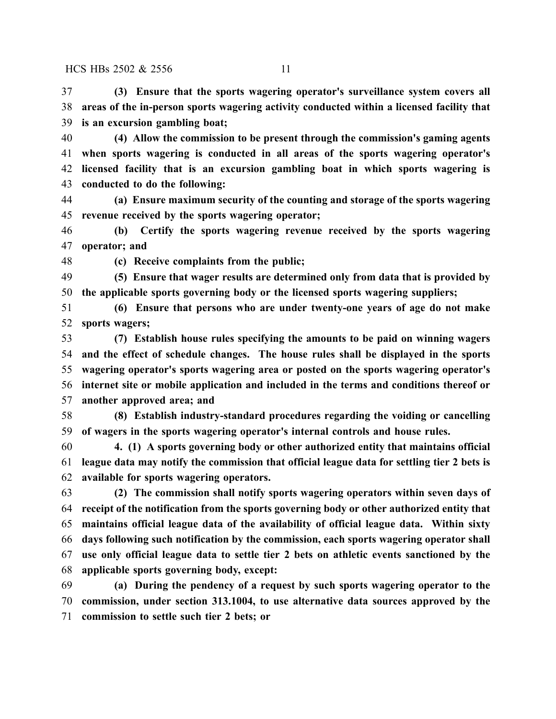**(3) Ensure that the sports wagering operator's surveillance system covers all areas of the in-person sports wagering activity conducted within a licensed facility that is an excursion gambling boat;**

 **(4) Allow the commission to be present through the commission's gaming agents when sports wagering is conducted in all areas of the sports wagering operator's licensed facility that is an excursion gambling boat in which sports wagering is conducted to do the following:**

 **(a) Ensure maximum security of the counting and storage of the sports wagering revenue received by the sports wagering operator;**

 **(b) Certify the sports wagering revenue received by the sports wagering operator; and**

**(c) Receive complaints from the public;**

 **(5) Ensure that wager results are determined only from data that is provided by the applicable sports governing body or the licensed sports wagering suppliers;**

 **(6) Ensure that persons who are under twenty-one years of age do not make sports wagers;**

 **(7) Establish house rules specifying the amounts to be paid on winning wagers and the effect of schedule changes. The house rules shall be displayed in the sports wagering operator's sports wagering area or posted on the sports wagering operator's internet site or mobile application and included in the terms and conditions thereof or another approved area; and**

 **(8) Establish industry-standard procedures regarding the voiding or cancelling of wagers in the sports wagering operator's internal controls and house rules.**

 **4. (1) A sports governing body or other authorized entity that maintains official league data may notify the commission that official league data for settling tier 2 bets is available for sports wagering operators.**

 **(2) The commission shall notify sports wagering operators within seven days of receipt of the notification from the sports governing body or other authorized entity that maintains official league data of the availability of official league data. Within sixty days following such notification by the commission, each sports wagering operator shall use only official league data to settle tier 2 bets on athletic events sanctioned by the applicable sports governing body, except:**

 **(a) During the pendency of a request by such sports wagering operator to the commission, under section 313.1004, to use alternative data sources approved by the commission to settle such tier 2 bets; or**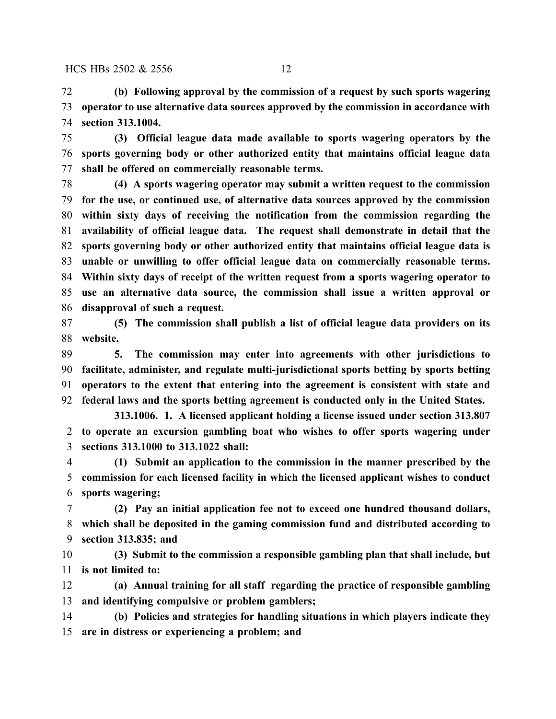**(b) Following approval by the commission of a request by such sports wagering operator to use alternative data sources approved by the commission in accordance with section 313.1004.**

 **(3) Official league data made available to sports wagering operators by the sports governing body or other authorized entity that maintains official league data shall be offered on commercially reasonable terms.**

 **(4) A sports wagering operator may submit a written request to the commission for the use, or continued use, of alternative data sources approved by the commission within sixty days of receiving the notification from the commission regarding the availability of official league data. The request shall demonstrate in detail that the sports governing body or other authorized entity that maintains official league data is unable or unwilling to offer official league data on commercially reasonable terms. Within sixty days of receipt of the written request from a sports wagering operator to use an alternative data source, the commission shall issue a written approval or disapproval of such a request.**

 **(5) The commission shall publish a list of official league data providers on its website.**

 **5. The commission may enter into agreements with other jurisdictions to facilitate, administer, and regulate multi-jurisdictional sports betting by sports betting operators to the extent that entering into the agreement is consistent with state and federal laws and the sports betting agreement is conducted only in the United States.**

**313.1006. 1. A licensed applicant holding a license issued under section 313.807 to operate an excursion gambling boat who wishes to offer sports wagering under sections 313.1000 to 313.1022 shall:**

 **(1) Submit an application to the commission in the manner prescribed by the commission for each licensed facility in which the licensed applicant wishes to conduct sports wagering;**

 **(2) Pay an initial application fee not to exceed one hundred thousand dollars, which shall be deposited in the gaming commission fund and distributed according to section 313.835; and**

 **(3) Submit to the commission a responsible gambling plan that shall include, but is not limited to:**

 **(a) Annual training for all staff regarding the practice of responsible gambling and identifying compulsive or problem gamblers;**

 **(b) Policies and strategies for handling situations in which players indicate they are in distress or experiencing a problem; and**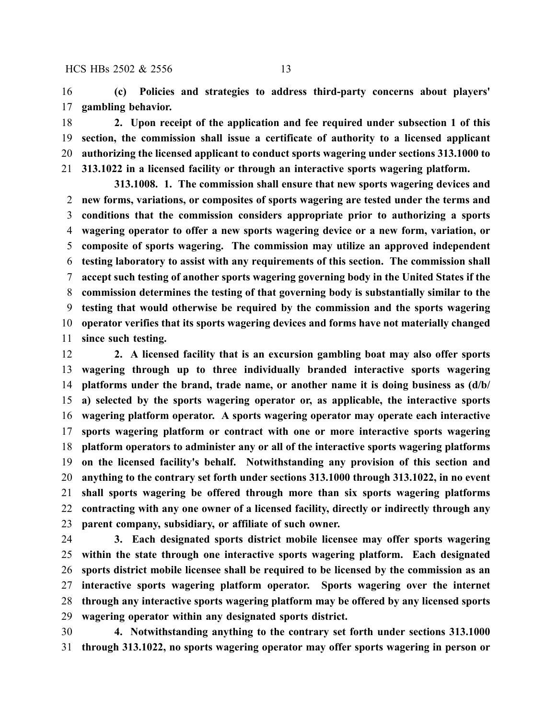**(c) Policies and strategies to address third-party concerns about players' gambling behavior.**

 **2. Upon receipt of the application and fee required under subsection 1 of this section, the commission shall issue a certificate of authority to a licensed applicant authorizing the licensed applicant to conduct sports wagering under sections 313.1000 to 313.1022 in a licensed facility or through an interactive sports wagering platform.**

**313.1008. 1. The commission shall ensure that new sports wagering devices and new forms, variations, or composites of sports wagering are tested under the terms and conditions that the commission considers appropriate prior to authorizing a sports wagering operator to offer a new sports wagering device or a new form, variation, or composite of sports wagering. The commission may utilize an approved independent testing laboratory to assist with any requirements of this section. The commission shall accept such testing of another sports wagering governing body in the United States if the commission determines the testing of that governing body is substantially similar to the testing that would otherwise be required by the commission and the sports wagering operator verifies that its sports wagering devices and forms have not materially changed since such testing.**

 **2. A licensed facility that is an excursion gambling boat may also offer sports wagering through up to three individually branded interactive sports wagering platforms under the brand, trade name, or another name it is doing business as (d/b/ a) selected by the sports wagering operator or, as applicable, the interactive sports wagering platform operator. A sports wagering operator may operate each interactive sports wagering platform or contract with one or more interactive sports wagering platform operators to administer any or all of the interactive sports wagering platforms on the licensed facility's behalf. Notwithstanding any provision of this section and anything to the contrary set forth under sections 313.1000 through 313.1022, in no event shall sports wagering be offered through more than six sports wagering platforms contracting with any one owner of a licensed facility, directly or indirectly through any parent company, subsidiary, or affiliate of such owner.**

 **3. Each designated sports district mobile licensee may offer sports wagering within the state through one interactive sports wagering platform. Each designated sports district mobile licensee shall be required to be licensed by the commission as an interactive sports wagering platform operator. Sports wagering over the internet through any interactive sports wagering platform may be offered by any licensed sports wagering operator within any designated sports district.**

 **4. Notwithstanding anything to the contrary set forth under sections 313.1000 through 313.1022, no sports wagering operator may offer sports wagering in person or**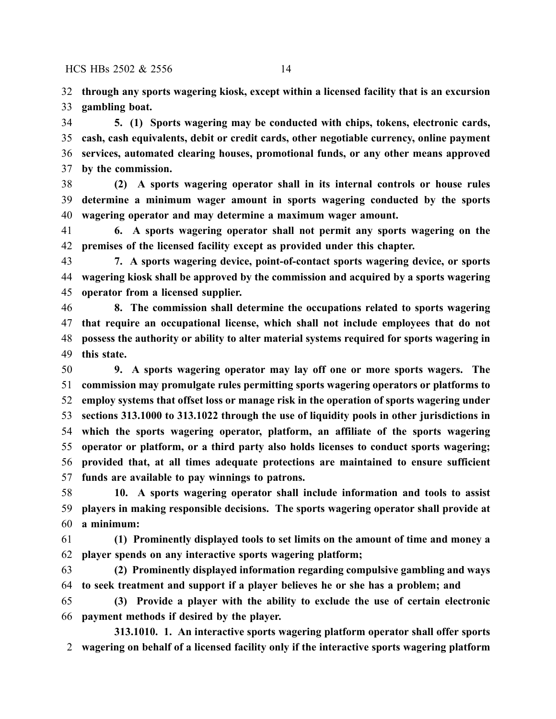**through any sports wagering kiosk, except within a licensed facility that is an excursion gambling boat.**

 **5. (1) Sports wagering may be conducted with chips, tokens, electronic cards, cash, cash equivalents, debit or credit cards, other negotiable currency, online payment services, automated clearing houses, promotional funds, or any other means approved by the commission.**

 **(2) A sports wagering operator shall in its internal controls or house rules determine a minimum wager amount in sports wagering conducted by the sports wagering operator and may determine a maximum wager amount.**

 **6. A sports wagering operator shall not permit any sports wagering on the premises of the licensed facility except as provided under this chapter.**

 **7. A sports wagering device, point-of-contact sports wagering device, or sports wagering kiosk shall be approved by the commission and acquired by a sports wagering operator from a licensed supplier.**

 **8. The commission shall determine the occupations related to sports wagering that require an occupational license, which shall not include employees that do not possess the authority or ability to alter material systems required for sports wagering in this state.**

 **9. A sports wagering operator may lay off one or more sports wagers. The commission may promulgate rules permitting sports wagering operators or platforms to employ systems that offset loss or manage risk in the operation of sports wagering under sections 313.1000 to 313.1022 through the use of liquidity pools in other jurisdictions in which the sports wagering operator, platform, an affiliate of the sports wagering operator or platform, or a third party also holds licenses to conduct sports wagering; provided that, at all times adequate protections are maintained to ensure sufficient funds are available to pay winnings to patrons.**

 **10. A sports wagering operator shall include information and tools to assist players in making responsible decisions. The sports wagering operator shall provide at a minimum:**

 **(1) Prominently displayed tools to set limits on the amount of time and money a player spends on any interactive sports wagering platform;**

 **(2) Prominently displayed information regarding compulsive gambling and ways to seek treatment and support if a player believes he or she has a problem; and**

 **(3) Provide a player with the ability to exclude the use of certain electronic payment methods if desired by the player.**

**313.1010. 1. An interactive sports wagering platform operator shall offer sports wagering on behalf of a licensed facility only if the interactive sports wagering platform**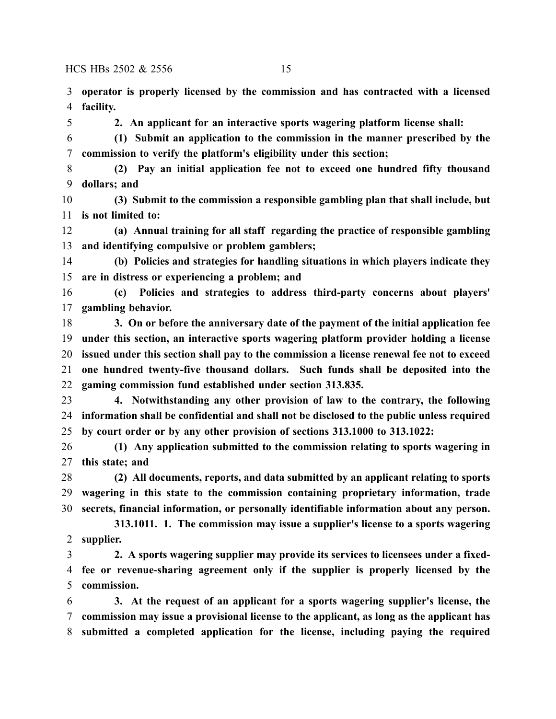**operator is properly licensed by the commission and has contracted with a licensed facility.**

**2. An applicant for an interactive sports wagering platform license shall:**

 **(1) Submit an application to the commission in the manner prescribed by the commission to verify the platform's eligibility under this section;**

 **(2) Pay an initial application fee not to exceed one hundred fifty thousand dollars; and**

 **(3) Submit to the commission a responsible gambling plan that shall include, but is not limited to:**

 **(a) Annual training for all staff regarding the practice of responsible gambling and identifying compulsive or problem gamblers;**

 **(b) Policies and strategies for handling situations in which players indicate they are in distress or experiencing a problem; and**

 **(c) Policies and strategies to address third-party concerns about players' gambling behavior.**

 **3. On or before the anniversary date of the payment of the initial application fee under this section, an interactive sports wagering platform provider holding a license issued under this section shall pay to the commission a license renewal fee not to exceed one hundred twenty-five thousand dollars. Such funds shall be deposited into the gaming commission fund established under section 313.835.**

 **4. Notwithstanding any other provision of law to the contrary, the following information shall be confidential and shall not be disclosed to the public unless required by court order or by any other provision of sections 313.1000 to 313.1022:**

 **(1) Any application submitted to the commission relating to sports wagering in this state; and**

 **(2) All documents, reports, and data submitted by an applicant relating to sports wagering in this state to the commission containing proprietary information, trade secrets, financial information, or personally identifiable information about any person.**

**313.1011. 1. The commission may issue a supplier's license to a sports wagering supplier.**

 **2. A sports wagering supplier may provide its services to licensees under a fixed- fee or revenue-sharing agreement only if the supplier is properly licensed by the commission.**

 **3. At the request of an applicant for a sports wagering supplier's license, the commission may issue a provisional license to the applicant, as long as the applicant has submitted a completed application for the license, including paying the required**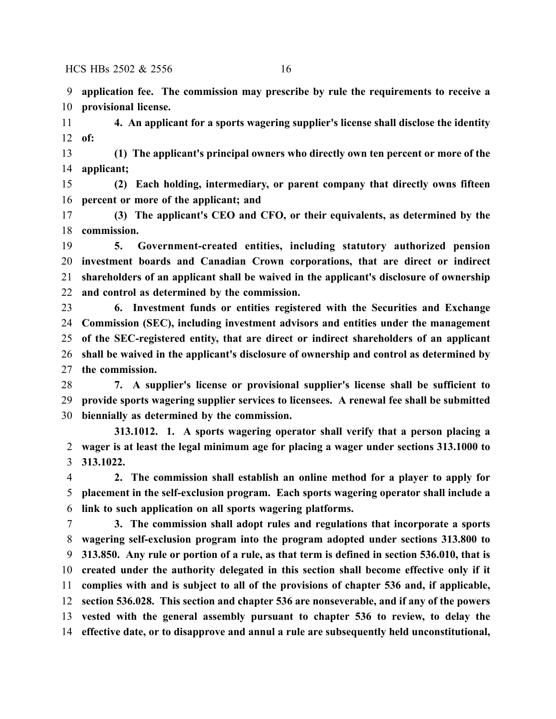**application fee. The commission may prescribe by rule the requirements to receive a provisional license.**

 **4. An applicant for a sports wagering supplier's license shall disclose the identity of:**

 **(1) The applicant's principal owners who directly own ten percent or more of the applicant;**

 **(2) Each holding, intermediary, or parent company that directly owns fifteen percent or more of the applicant; and**

 **(3) The applicant's CEO and CFO, or their equivalents, as determined by the commission.**

 **5. Government-created entities, including statutory authorized pension investment boards and Canadian Crown corporations, that are direct or indirect shareholders of an applicant shall be waived in the applicant's disclosure of ownership and control as determined by the commission.**

 **6. Investment funds or entities registered with the Securities and Exchange Commission (SEC), including investment advisors and entities under the management of the SEC-registered entity, that are direct or indirect shareholders of an applicant shall be waived in the applicant's disclosure of ownership and control as determined by the commission.**

 **7. A supplier's license or provisional supplier's license shall be sufficient to provide sports wagering supplier services to licensees. A renewal fee shall be submitted biennially as determined by the commission.**

**313.1012. 1. A sports wagering operator shall verify that a person placing a wager is at least the legal minimum age for placing a wager under sections 313.1000 to 313.1022.**

 **2. The commission shall establish an online method for a player to apply for placement in the self-exclusion program. Each sports wagering operator shall include a link to such application on all sports wagering platforms.**

 **3. The commission shall adopt rules and regulations that incorporate a sports wagering self-exclusion program into the program adopted under sections 313.800 to 313.850. Any rule or portion of a rule, as that term is defined in section 536.010, that is created under the authority delegated in this section shall become effective only if it complies with and is subject to all of the provisions of chapter 536 and, if applicable, section 536.028. This section and chapter 536 are nonseverable, and if any of the powers vested with the general assembly pursuant to chapter 536 to review, to delay the effective date, or to disapprove and annul a rule are subsequently held unconstitutional,**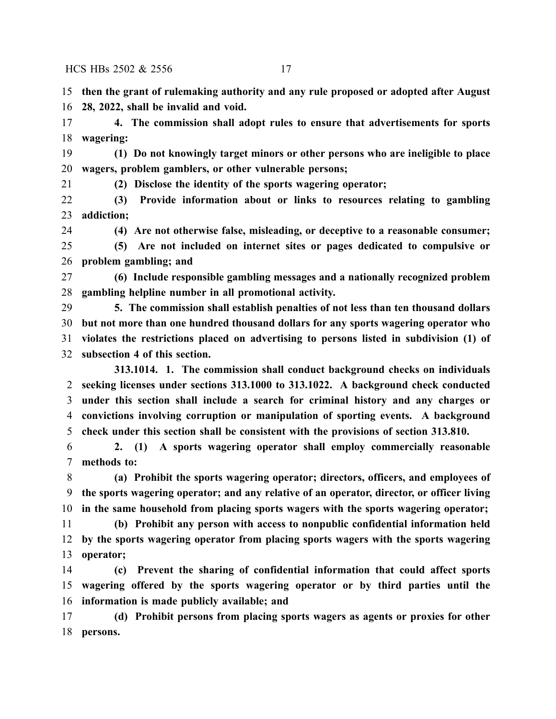**then the grant of rulemaking authority and any rule proposed or adopted after August 28, 2022, shall be invalid and void.**

 **4. The commission shall adopt rules to ensure that advertisements for sports wagering:**

 **(1) Do not knowingly target minors or other persons who are ineligible to place wagers, problem gamblers, or other vulnerable persons;**

**(2) Disclose the identity of the sports wagering operator;**

 **(3) Provide information about or links to resources relating to gambling addiction;**

**(4) Are not otherwise false, misleading, or deceptive to a reasonable consumer;**

 **(5) Are not included on internet sites or pages dedicated to compulsive or problem gambling; and**

 **(6) Include responsible gambling messages and a nationally recognized problem gambling helpline number in all promotional activity.**

 **5. The commission shall establish penalties of not less than ten thousand dollars but not more than one hundred thousand dollars for any sports wagering operator who violates the restrictions placed on advertising to persons listed in subdivision (1) of subsection 4 of this section.**

**313.1014. 1. The commission shall conduct background checks on individuals seeking licenses under sections 313.1000 to 313.1022. A background check conducted under this section shall include a search for criminal history and any charges or convictions involving corruption or manipulation of sporting events. A background check under this section shall be consistent with the provisions of section 313.810.**

 **2. (1) A sports wagering operator shall employ commercially reasonable methods to:**

 **(a) Prohibit the sports wagering operator; directors, officers, and employees of the sports wagering operator; and any relative of an operator, director, or officer living in the same household from placing sports wagers with the sports wagering operator;**

 **(b) Prohibit any person with access to nonpublic confidential information held by the sports wagering operator from placing sports wagers with the sports wagering operator;**

 **(c) Prevent the sharing of confidential information that could affect sports wagering offered by the sports wagering operator or by third parties until the information is made publicly available; and**

 **(d) Prohibit persons from placing sports wagers as agents or proxies for other persons.**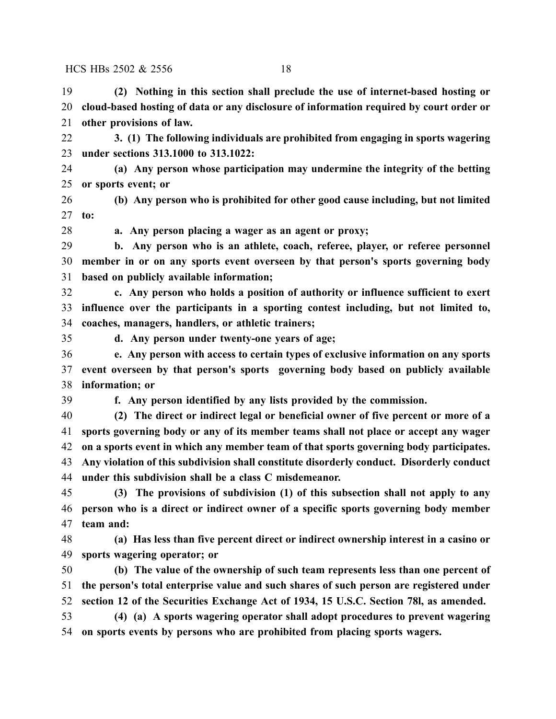**(2) Nothing in this section shall preclude the use of internet-based hosting or cloud-based hosting of data or any disclosure of information required by court order or other provisions of law.**

 **3. (1) The following individuals are prohibited from engaging in sports wagering under sections 313.1000 to 313.1022:**

 **(a) Any person whose participation may undermine the integrity of the betting or sports event; or**

 **(b) Any person who is prohibited for other good cause including, but not limited to:**

**a. Any person placing a wager as an agent or proxy;**

 **b. Any person who is an athlete, coach, referee, player, or referee personnel member in or on any sports event overseen by that person's sports governing body based on publicly available information;**

 **c. Any person who holds a position of authority or influence sufficient to exert influence over the participants in a sporting contest including, but not limited to, coaches, managers, handlers, or athletic trainers;**

**d. Any person under twenty-one years of age;**

 **e. Any person with access to certain types of exclusive information on any sports event overseen by that person's sports governing body based on publicly available information; or**

**f. Any person identified by any lists provided by the commission.**

**(2) The direct or indirect legal or beneficial owner of five percent or more of a**

 **sports governing body or any of its member teams shall not place or accept any wager on a sports event in which any member team of that sports governing body participates. Any violation of this subdivision shall constitute disorderly conduct. Disorderly conduct under this subdivision shall be a class C misdemeanor.**

 **(3) The provisions of subdivision (1) of this subsection shall not apply to any person who is a direct or indirect owner of a specific sports governing body member team and:**

 **(a) Has less than five percent direct or indirect ownership interest in a casino or sports wagering operator; or**

 **(b) The value of the ownership of such team represents less than one percent of the person's total enterprise value and such shares of such person are registered under section 12 of the Securities Exchange Act of 1934, 15 U.S.C. Section 78l, as amended.**

 **(4) (a) A sports wagering operator shall adopt procedures to prevent wagering on sports events by persons who are prohibited from placing sports wagers.**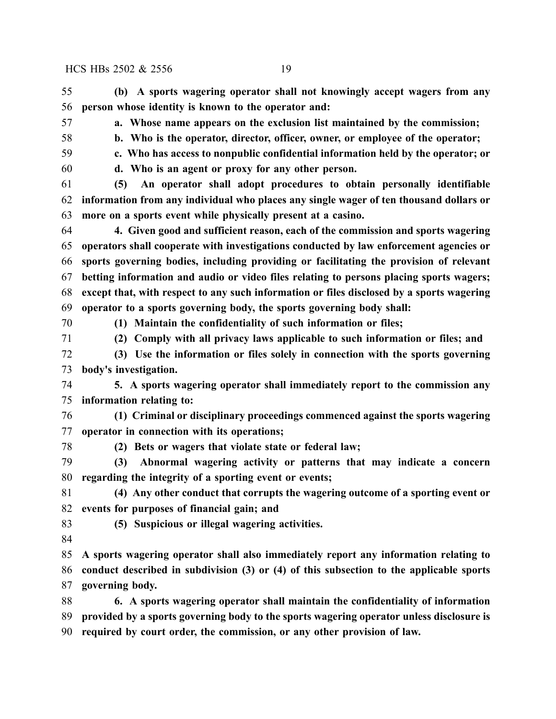**(b) A sports wagering operator shall not knowingly accept wagers from any person whose identity is known to the operator and:**

**a. Whose name appears on the exclusion list maintained by the commission;**

- **b. Who is the operator, director, officer, owner, or employee of the operator;**
- **c. Who has access to nonpublic confidential information held by the operator; or**

**d. Who is an agent or proxy for any other person.**

 **(5) An operator shall adopt procedures to obtain personally identifiable information from any individual who places any single wager of ten thousand dollars or more on a sports event while physically present at a casino.**

 **4. Given good and sufficient reason, each of the commission and sports wagering operators shall cooperate with investigations conducted by law enforcement agencies or sports governing bodies, including providing or facilitating the provision of relevant betting information and audio or video files relating to persons placing sports wagers; except that, with respect to any such information or files disclosed by a sports wagering operator to a sports governing body, the sports governing body shall:**

**(1) Maintain the confidentiality of such information or files;**

**(2) Comply with all privacy laws applicable to such information or files; and**

 **(3) Use the information or files solely in connection with the sports governing body's investigation.**

 **5. A sports wagering operator shall immediately report to the commission any information relating to:**

 **(1) Criminal or disciplinary proceedings commenced against the sports wagering operator in connection with its operations;**

**(2) Bets or wagers that violate state or federal law;**

 **(3) Abnormal wagering activity or patterns that may indicate a concern regarding the integrity of a sporting event or events;**

 **(4) Any other conduct that corrupts the wagering outcome of a sporting event or events for purposes of financial gain; and**

- **(5) Suspicious or illegal wagering activities.**
- 

 **A sports wagering operator shall also immediately report any information relating to conduct described in subdivision (3) or (4) of this subsection to the applicable sports governing body.**

 **6. A sports wagering operator shall maintain the confidentiality of information provided by a sports governing body to the sports wagering operator unless disclosure is required by court order, the commission, or any other provision of law.**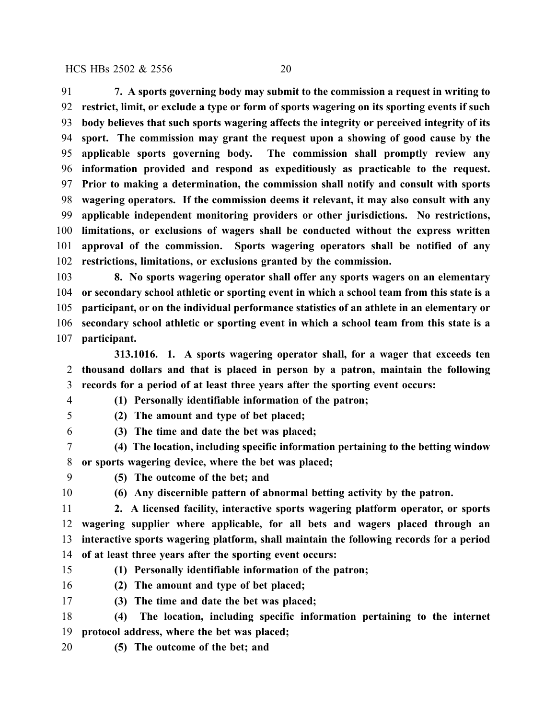**7. A sports governing body may submit to the commission a request in writing to restrict, limit, or exclude a type or form of sports wagering on its sporting events if such body believes that such sports wagering affects the integrity or perceived integrity of its sport. The commission may grant the request upon a showing of good cause by the applicable sports governing body. The commission shall promptly review any information provided and respond as expeditiously as practicable to the request. Prior to making a determination, the commission shall notify and consult with sports wagering operators. If the commission deems it relevant, it may also consult with any applicable independent monitoring providers or other jurisdictions. No restrictions, limitations, or exclusions of wagers shall be conducted without the express written approval of the commission. Sports wagering operators shall be notified of any restrictions, limitations, or exclusions granted by the commission.**

 **8. No sports wagering operator shall offer any sports wagers on an elementary or secondary school athletic or sporting event in which a school team from this state is a participant, or on the individual performance statistics of an athlete in an elementary or secondary school athletic or sporting event in which a school team from this state is a participant.**

**313.1016. 1. A sports wagering operator shall, for a wager that exceeds ten thousand dollars and that is placed in person by a patron, maintain the following records for a period of at least three years after the sporting event occurs:**

**(1) Personally identifiable information of the patron;**

**(2) The amount and type of bet placed;**

**(3) The time and date the bet was placed;**

- **(4) The location, including specific information pertaining to the betting window or sports wagering device, where the bet was placed;**
- 

**(5) The outcome of the bet; and**

**(6) Any discernible pattern of abnormal betting activity by the patron.**

- **2. A licensed facility, interactive sports wagering platform operator, or sports wagering supplier where applicable, for all bets and wagers placed through an interactive sports wagering platform, shall maintain the following records for a period of at least three years after the sporting event occurs:**
- **(1) Personally identifiable information of the patron;**

**(2) The amount and type of bet placed;**

- **(3) The time and date the bet was placed;**
- **(4) The location, including specific information pertaining to the internet protocol address, where the bet was placed;**
- **(5) The outcome of the bet; and**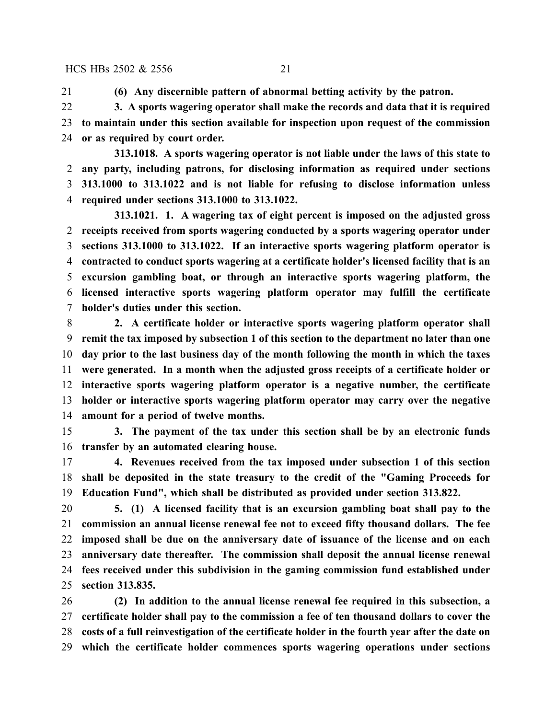**(6) Any discernible pattern of abnormal betting activity by the patron.**

 **3. A sports wagering operator shall make the records and data that it is required to maintain under this section available for inspection upon request of the commission or as required by court order.**

**313.1018. A sports wagering operator is not liable under the laws of this state to any party, including patrons, for disclosing information as required under sections 313.1000 to 313.1022 and is not liable for refusing to disclose information unless required under sections 313.1000 to 313.1022.**

**313.1021. 1. A wagering tax of eight percent is imposed on the adjusted gross receipts received from sports wagering conducted by a sports wagering operator under sections 313.1000 to 313.1022. If an interactive sports wagering platform operator is contracted to conduct sports wagering at a certificate holder's licensed facility that is an excursion gambling boat, or through an interactive sports wagering platform, the licensed interactive sports wagering platform operator may fulfill the certificate holder's duties under this section.**

 **2. A certificate holder or interactive sports wagering platform operator shall remit the tax imposed by subsection 1 of this section to the department no later than one day prior to the last business day of the month following the month in which the taxes were generated. In a month when the adjusted gross receipts of a certificate holder or interactive sports wagering platform operator is a negative number, the certificate holder or interactive sports wagering platform operator may carry over the negative amount for a period of twelve months.**

 **3. The payment of the tax under this section shall be by an electronic funds transfer by an automated clearing house.**

 **4. Revenues received from the tax imposed under subsection 1 of this section shall be deposited in the state treasury to the credit of the "Gaming Proceeds for Education Fund", which shall be distributed as provided under section 313.822.**

 **5. (1) A licensed facility that is an excursion gambling boat shall pay to the commission an annual license renewal fee not to exceed fifty thousand dollars. The fee imposed shall be due on the anniversary date of issuance of the license and on each anniversary date thereafter. The commission shall deposit the annual license renewal fees received under this subdivision in the gaming commission fund established under section 313.835.**

 **(2) In addition to the annual license renewal fee required in this subsection, a certificate holder shall pay to the commission a fee of ten thousand dollars to cover the costs of a full reinvestigation of the certificate holder in the fourth year after the date on which the certificate holder commences sports wagering operations under sections**